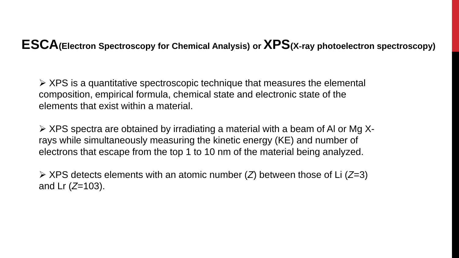### **ESCA(Electron Spectroscopy for Chemical Analysis) or XPS(X**‐**ray photoelectron spectroscopy)**

 $\triangleright$  XPS is a quantitative spectroscopic technique that measures the elemental composition, empirical formula, chemical state and electronic state of the elements that exist within a material.

 $\triangleright$  XPS spectra are obtained by irradiating a material with a beam of AI or Mg Xrays while simultaneously measuring the kinetic energy (KE) and number of electrons that escape from the top 1 to 10 nm of the material being analyzed.

 XPS detects elements with an atomic number (*Z*) between those of Li (*Z*=3) and Lr (*Z*=103).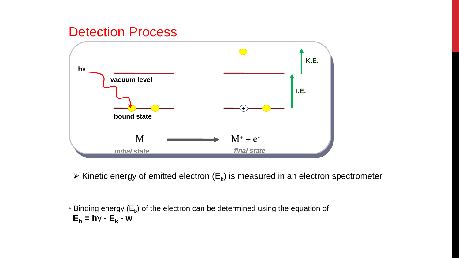### Detection Process



 $\triangleright$  Kinetic energy of emitted electron (E<sub>k</sub>) is measured in an electron spectrometer

• Binding energy  $(E_b)$  of the electron can be determined using the equation of  $E_b = h \vee - E_k - w$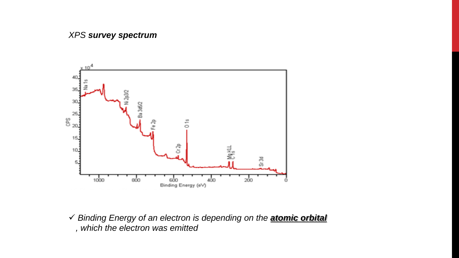

 *Binding Energy of an electron is depending on the atomic orbital , which the electron was emitted*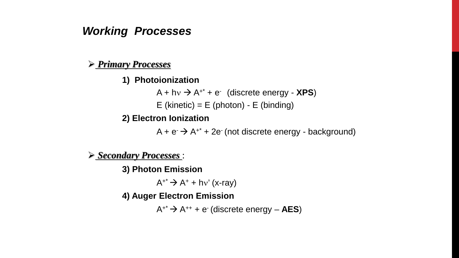### *Working Processes*

#### *Primary Processes*

#### **1) Photoionization**

 $A + hv \rightarrow A^{+*} + e^{-}$  (discrete energy - **XPS)** 

E (kinetic) =  $E$  (photon) -  $E$  (binding)

#### **2) Electron Ionization**

 $A + e^- \rightarrow A^{+*} + 2e^-$  (not discrete energy - background)

#### *Secondary Processes* :

**3) Photon Emission**

 $A^{+*} \rightarrow A^{+} + h v'$  (x-ray)

**4) Auger Electron Emission**

 $A^{+*} \rightarrow A^{++} + e^{-}$  (discrete energy – **AES**)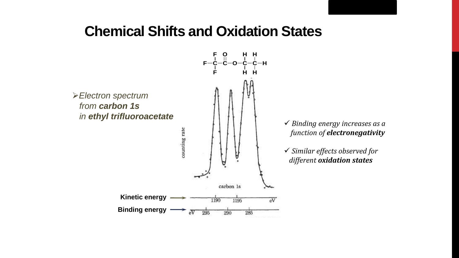### **Chemical Shifts and Oxidation States**

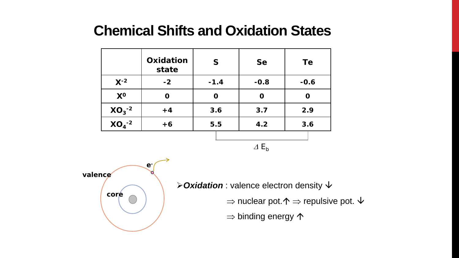## **Chemical Shifts and Oxidation States**

|             | Oxidation<br>state | $\mathsf{S}$ | <b>Se</b> | Te     |
|-------------|--------------------|--------------|-----------|--------|
| $X^{-2}$    | $-2$               | $-1.4$       | $-0.8$    | $-0.6$ |
| $X^0$       |                    |              | 0         |        |
| $XO_3^{-2}$ | $+4$               | 3.6          | 3.7       | 2.9    |
| $XO4-2$     | $+6$               | 5.5          | 4.2       | 3.6    |
|             |                    |              |           |        |

<sup>∆</sup> *Eb*



*≻ Oxidation* : valence electron density  $\psi$ 

 $\Rightarrow$  nuclear pot.  $\uparrow$   $\Rightarrow$  repulsive pot.  $\downarrow$ 

 $\Rightarrow$  binding energy  $\spadesuit$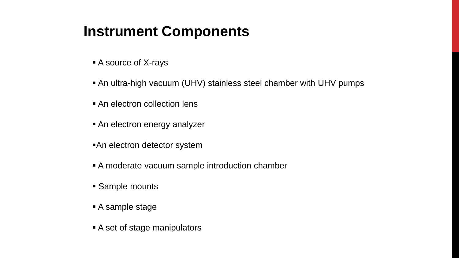## **Instrument Components**

- A source of X-rays
- An ultra-high vacuum (UHV) stainless steel chamber with UHV pumps
- An electron collection lens
- **An electron energy analyzer**
- An electron detector system
- A moderate vacuum sample introduction chamber
- Sample mounts
- A sample stage
- A set of stage manipulators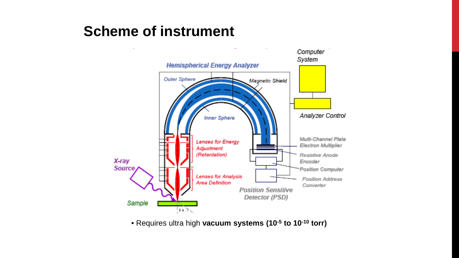## **Scheme of instrument**



• Requires ultra high **vacuum systems (10-5 to 10-10 torr)**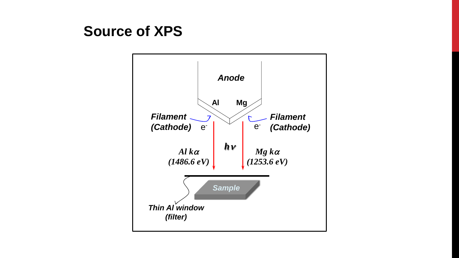## **Source of XPS**